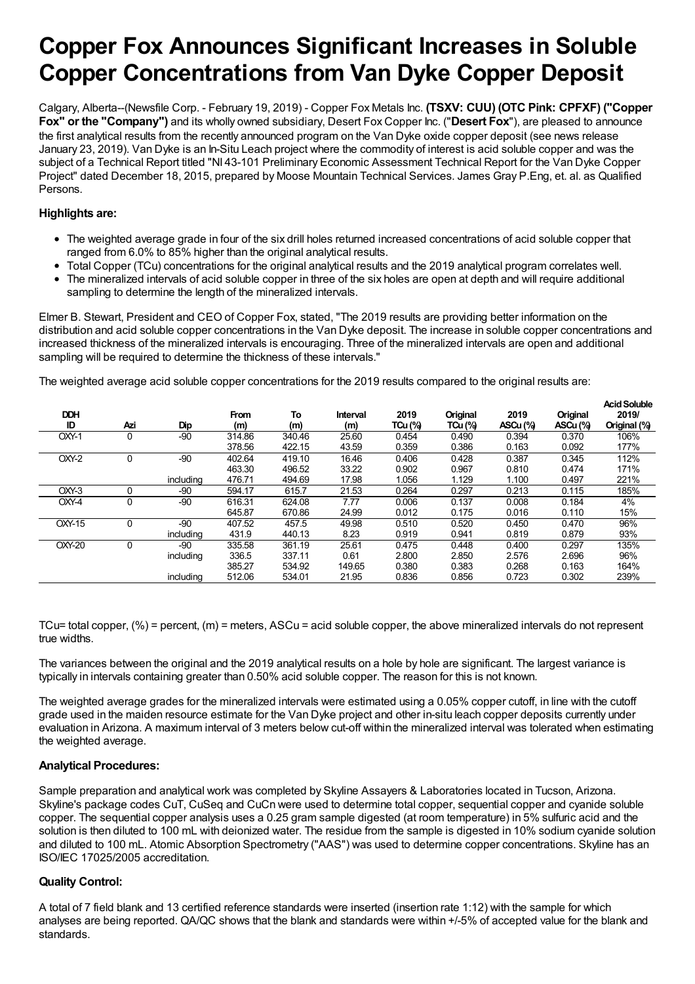# **Copper Fox Announces Significant Increases in Soluble Copper Concentrations from Van Dyke Copper Deposit**

Calgary, Alberta--(Newsfile Corp. - February 19, 2019) - Copper Fox Metals Inc. **(TSXV: CUU) (OTC Pink: CPFXF) ("Copper Fox" or the "Company")** and its wholly owned subsidiary, Desert Fox Copper Inc. ("**Desert Fox**"), are pleased to announce the first analytical results from the recently announced program on the Van Dyke oxide copper deposit (see news release January 23, 2019). Van Dyke is an In-Situ Leach project where the commodity of interest is acid soluble copper and was the subject of a Technical Report titled "NI 43-101 Preliminary Economic Assessment Technical Report for the Van Dyke Copper Project" dated December 18, 2015, prepared by Moose Mountain Technical Services. James Gray P.Eng, et. al. as Qualified Persons.

# **Highlights are:**

- The weighted average grade in four of the six drill holes returned increased concentrations of acid soluble copper that ranged from 6.0% to 85% higher than the original analytical results.
- Total Copper (TCu) concentrations for the original analytical results and the 2019 analytical program correlates well.
- The mineralized intervals of acid soluble copper in three of the six holes are open at depth and will require additional sampling to determine the length of the mineralized intervals.

Elmer B. Stewart, President and CEO of Copper Fox, stated, "The 2019 results are providing better information on the distribution and acid soluble copper concentrations in the Van Dyke deposit. The increase in soluble copper concentrations and increased thickness of the mineralized intervals is encouraging. Three of the mineralized intervals are open and additional sampling will be required to determine the thickness of these intervals."

The weighted average acid soluble copper concentrations for the 2019 results compared to the original results are:

| <b>DDH</b><br>ID | Azi      | Dip       | <b>From</b><br>(m) | То<br>(m) | Interval<br>(m) | 2019<br>$TCu$ (%) | Original<br>TCu (%) | 2019<br>ASCu (%) | Original<br>ASCu (%) | <b>Acid Soluble</b><br>2019/<br>Original (%) |
|------------------|----------|-----------|--------------------|-----------|-----------------|-------------------|---------------------|------------------|----------------------|----------------------------------------------|
| OXY-1            | $\Omega$ | -90       | 314.86             | 340.46    | 25.60           | 0.454             | 0.490               | 0.394            | 0.370                | 106%                                         |
|                  |          |           | 378.56             | 422.15    | 43.59           | 0.359             | 0.386               | 0.163            | 0.092                | 177%                                         |
| OXY-2            | $\Omega$ | -90       | 402.64             | 419.10    | 16.46           | 0.406             | 0.428               | 0.387            | 0.345                | 112%                                         |
|                  |          |           | 463.30             | 496.52    | 33.22           | 0.902             | 0.967               | 0.810            | 0.474                | 171%                                         |
|                  |          | including | 476.71             | 494.69    | 17.98           | 1.056             | 1.129               | 1.100            | 0.497                | 221%                                         |
| OXY-3            |          | -90       | 594.17             | 615.7     | 21.53           | 0.264             | 0.297               | 0.213            | 0.115                | 185%                                         |
| OXY-4            | $\Omega$ | -90       | 616.31             | 624.08    | 7.77            | 0.006             | 0.137               | 0.008            | 0.184                | 4%                                           |
|                  |          |           | 645.87             | 670.86    | 24.99           | 0.012             | 0.175               | 0.016            | 0.110                | 15%                                          |
| <b>OXY-15</b>    | $\Omega$ | -90       | 407.52             | 457.5     | 49.98           | 0.510             | 0.520               | 0.450            | 0.470                | 96%                                          |
|                  |          | including | 431.9              | 440.13    | 8.23            | 0.919             | 0.941               | 0.819            | 0.879                | 93%                                          |
| <b>OXY-20</b>    | $\Omega$ | -90       | 335.58             | 361.19    | 25.61           | 0.475             | 0.448               | 0.400            | 0.297                | 135%                                         |
|                  |          | including | 336.5              | 337.11    | 0.61            | 2.800             | 2.850               | 2.576            | 2.696                | 96%                                          |
|                  |          |           | 385.27             | 534.92    | 149.65          | 0.380             | 0.383               | 0.268            | 0.163                | 164%                                         |
|                  |          | including | 512.06             | 534.01    | 21.95           | 0.836             | 0.856               | 0.723            | 0.302                | 239%                                         |

TCu= total copper,  $(\%)$  = percent,  $(m)$  = meters, ASCu = acid soluble copper, the above mineralized intervals do not represent true widths.

The variances between the original and the 2019 analytical results on a hole by hole are significant. The largest variance is typically in intervals containing greater than 0.50% acid soluble copper. The reason for this is not known.

The weighted average grades for the mineralized intervals were estimated using a 0.05% copper cutoff, in line with the cutoff grade used in the maiden resource estimate for the Van Dyke project and other in-situ leach copper deposits currently under evaluation in Arizona. A maximum interval of 3 meters below cut-off within the mineralized interval was tolerated when estimating the weighted average.

### **Analytical Procedures:**

Sample preparation and analytical work was completed by Skyline Assayers & Laboratories located in Tucson, Arizona. Skyline's package codes CuT, CuSeq and CuCn were used to determine total copper, sequential copper and cyanide soluble copper. The sequential copper analysis uses a 0.25 gram sample digested (at room temperature) in 5% sulfuric acid and the solution is then diluted to 100 mL with deionized water. The residue from the sample is digested in 10% sodium cyanide solution and diluted to 100 mL. Atomic Absorption Spectrometry ("AAS") was used to determine copper concentrations. Skyline has an ISO/IEC 17025/2005 accreditation.

### **Quality Control:**

A total of 7 field blank and 13 certified reference standards were inserted (insertion rate 1:12) with the sample for which analyses are being reported. QA/QC shows that the blank and standards were within +/-5% of accepted value for the blank and standards.